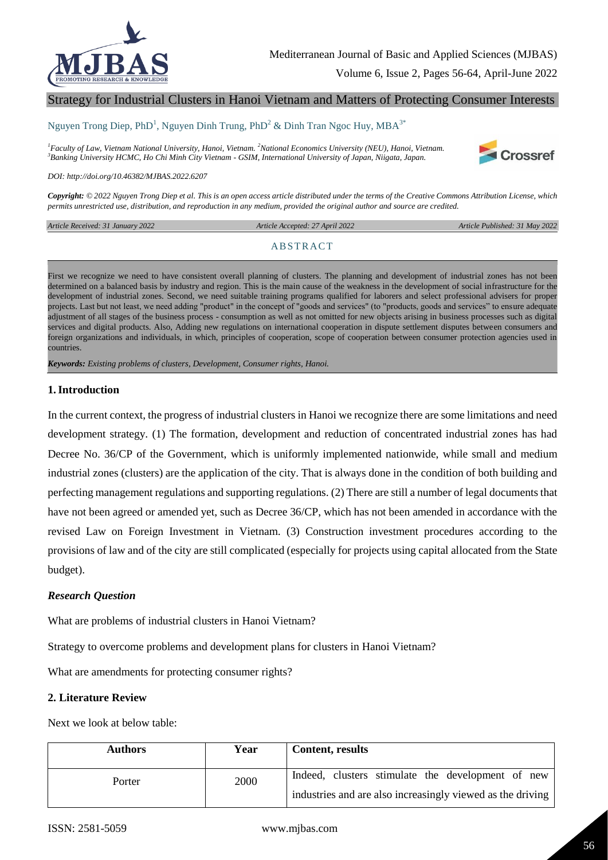

# Strategy for Industrial Clusters in Hanoi Vietnam and Matters of Protecting Consumer Interests

#### Nguyen Trong Diep, PhD<sup>1</sup>, Nguyen Dinh Trung, PhD<sup>2</sup> & Dinh Tran Ngoc Huy, MBA<sup>3\*</sup>

*<sup>1</sup>Faculty of Law, Vietnam National University, Hanoi, Vietnam. <sup>2</sup>National Economics University (NEU), Hanoi, Vietnam. <sup>3</sup>Banking University HCMC, Ho Chi Minh City Vietnam - GSIM, International University of Japan, Niigata, Japan.*



*DOI: http://doi.org/10.46382/MJBAS.2022.6207*

*Copyright: © 2022 Nguyen Trong Diep et al. This is an open access article distributed under the terms of the Creative Commons Attribution License, which permits unrestricted use, distribution, and reproduction in any medium, provided the original author and source are credited.* 

*Article Received: 31 January 2022* 

 *Article Accepted: 27 April 2022 Article Published: 31 May 2022*

#### **ABSTRACT**

First we recognize we need to have consistent overall planning of clusters. The planning and development of industrial zones has not been determined on a balanced basis by industry and region. This is the main cause of the weakness in the development of social infrastructure for the development of industrial zones. Second, we need suitable training programs qualified for laborers and select professional advisers for proper projects. Last but not least, we need adding "product" in the concept of "goods and services" (to "products, goods and services" to ensure adequate adjustment of all stages of the business process - consumption as well as not omitted for new objects arising in business processes such as digital services and digital products. Also, Adding new regulations on international cooperation in dispute settlement disputes between consumers and foreign organizations and individuals, in which, principles of cooperation, scope of cooperation between consumer protection agencies used in countries.

*Keywords: Existing problems of clusters, Development, Consumer rights, Hanoi.*

#### **1.Introduction**

In the current context, the progress of industrial clusters in Hanoi we recognize there are some limitations and need development strategy. (1) The formation, development and reduction of concentrated industrial zones has had Decree No. 36/CP of the Government, which is uniformly implemented nationwide, while small and medium industrial zones (clusters) are the application of the city. That is always done in the condition of both building and perfecting management regulations and supporting regulations. (2) There are still a number of legal documents that have not been agreed or amended yet, such as Decree 36/CP, which has not been amended in accordance with the revised Law on Foreign Investment in Vietnam. (3) Construction investment procedures according to the provisions of law and of the city are still complicated (especially for projects using capital allocated from the State budget).

#### *Research Question*

What are problems of industrial clusters in Hanoi Vietnam?

Strategy to overcome problems and development plans for clusters in Hanoi Vietnam?

What are amendments for protecting consumer rights?

### **2. Literature Review**

Next we look at below table:

| <b>Authors</b> | Year | Content, results                                           |
|----------------|------|------------------------------------------------------------|
| Porter         | 2000 | Indeed, clusters stimulate the development of new          |
|                |      | industries and are also increasingly viewed as the driving |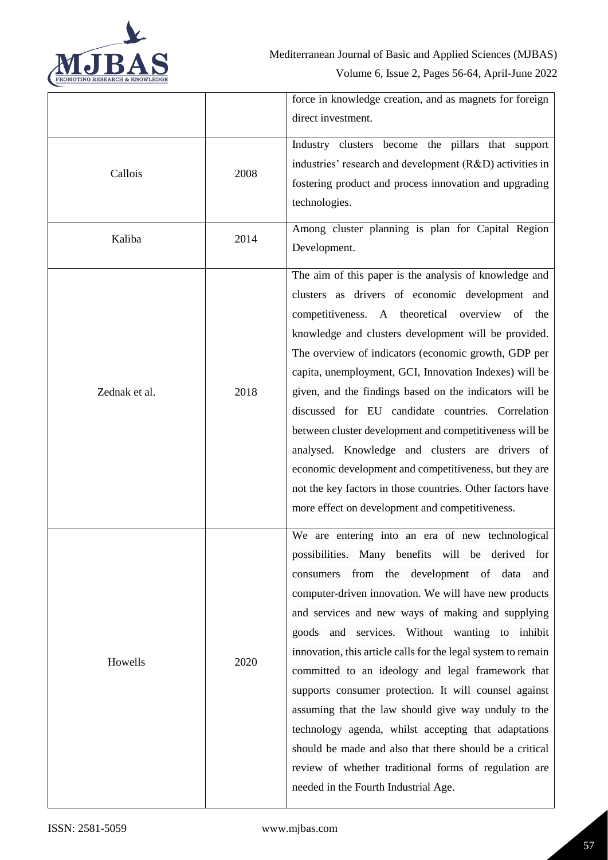

|               |      | force in knowledge creation, and as magnets for foreign       |
|---------------|------|---------------------------------------------------------------|
|               |      | direct investment.                                            |
| Callois       | 2008 | Industry clusters become the pillars that support             |
|               |      | industries' research and development (R&D) activities in      |
|               |      | fostering product and process innovation and upgrading        |
|               |      | technologies.                                                 |
| Kaliba        | 2014 | Among cluster planning is plan for Capital Region             |
|               |      | Development.                                                  |
|               | 2018 | The aim of this paper is the analysis of knowledge and        |
|               |      | clusters as drivers of economic development and               |
|               |      | competitiveness. A theoretical overview of<br>the             |
|               |      | knowledge and clusters development will be provided.          |
|               |      | The overview of indicators (economic growth, GDP per          |
|               |      | capita, unemployment, GCI, Innovation Indexes) will be        |
| Zednak et al. |      | given, and the findings based on the indicators will be       |
|               |      | discussed for EU candidate countries. Correlation             |
|               |      | between cluster development and competitiveness will be       |
|               |      | analysed. Knowledge and clusters are drivers of               |
|               |      | economic development and competitiveness, but they are        |
|               |      | not the key factors in those countries. Other factors have    |
|               |      | more effect on development and competitiveness.               |
|               |      | We are entering into an era of new technological              |
|               |      | possibilities. Many benefits will be derived for              |
|               | 2020 | consumers from the development of data<br>and                 |
|               |      | computer-driven innovation. We will have new products         |
|               |      | and services and new ways of making and supplying             |
|               |      | goods and services. Without wanting to inhibit                |
| Howells       |      | innovation, this article calls for the legal system to remain |
|               |      | committed to an ideology and legal framework that             |
|               |      | supports consumer protection. It will counsel against         |
|               |      | assuming that the law should give way unduly to the           |
|               |      | technology agenda, whilst accepting that adaptations          |
|               |      | should be made and also that there should be a critical       |
|               |      | review of whether traditional forms of regulation are         |
|               |      | needed in the Fourth Industrial Age.                          |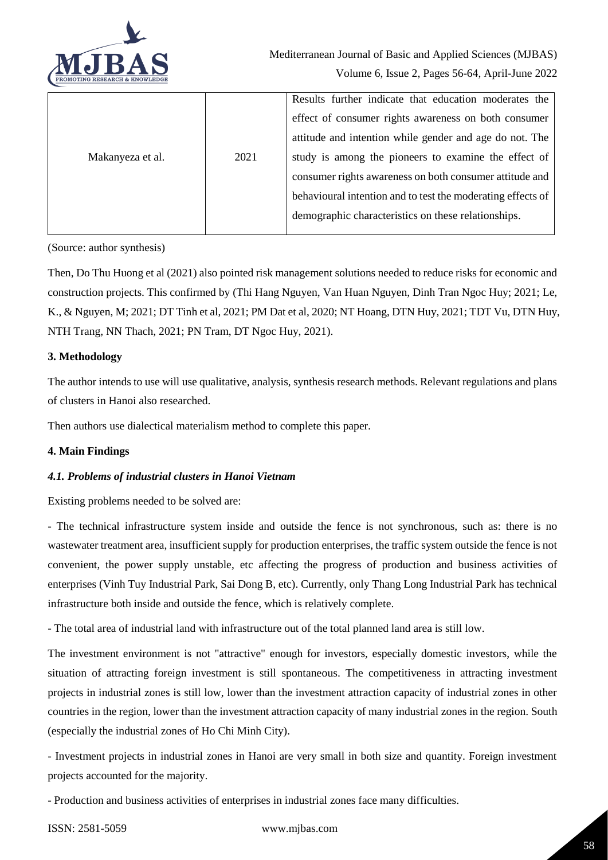

|                  |      | Results further indicate that education moderates the       |
|------------------|------|-------------------------------------------------------------|
|                  |      | effect of consumer rights awareness on both consumer        |
|                  |      | attitude and intention while gender and age do not. The     |
| Makanyeza et al. | 2021 | study is among the pioneers to examine the effect of        |
|                  |      | consumer rights awareness on both consumer attitude and     |
|                  |      | behavioural intention and to test the moderating effects of |
|                  |      | demographic characteristics on these relationships.         |
|                  |      |                                                             |

(Source: author synthesis)

Then, Do Thu Huong et al (2021) also pointed risk management solutions needed to reduce risks for economic and construction projects. This confirmed by (Thi Hang Nguyen, Van Huan Nguyen, Dinh Tran Ngoc Huy; 2021; Le, K., & Nguyen, M; 2021; DT Tinh et al, 2021; PM Dat et al, 2020; NT Hoang, DTN Huy, 2021; TDT Vu, DTN Huy, NTH Trang, NN Thach, 2021; PN Tram, DT Ngoc Huy, 2021).

### **3. Methodology**

The author intends to use will use qualitative, analysis, synthesis research methods. Relevant regulations and plans of clusters in Hanoi also researched.

Then authors use dialectical materialism method to complete this paper.

### **4. Main Findings**

### *4.1. Problems of industrial clusters in Hanoi Vietnam*

Existing problems needed to be solved are:

- The technical infrastructure system inside and outside the fence is not synchronous, such as: there is no wastewater treatment area, insufficient supply for production enterprises, the traffic system outside the fence is not convenient, the power supply unstable, etc affecting the progress of production and business activities of enterprises (Vinh Tuy Industrial Park, Sai Dong B, etc). Currently, only Thang Long Industrial Park has technical infrastructure both inside and outside the fence, which is relatively complete.

- The total area of industrial land with infrastructure out of the total planned land area is still low.

The investment environment is not "attractive" enough for investors, especially domestic investors, while the situation of attracting foreign investment is still spontaneous. The competitiveness in attracting investment projects in industrial zones is still low, lower than the investment attraction capacity of industrial zones in other countries in the region, lower than the investment attraction capacity of many industrial zones in the region. South (especially the industrial zones of Ho Chi Minh City).

- Investment projects in industrial zones in Hanoi are very small in both size and quantity. Foreign investment projects accounted for the majority.

- Production and business activities of enterprises in industrial zones face many difficulties.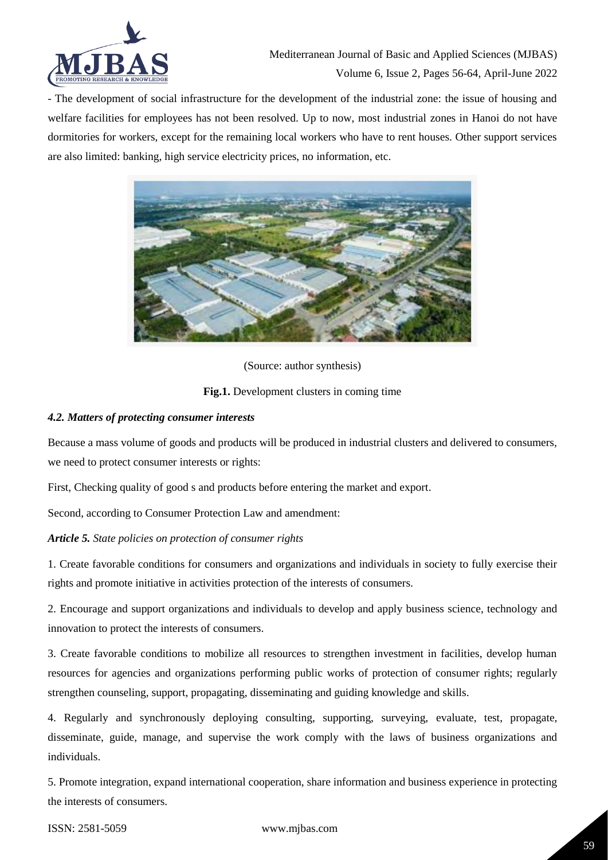

- The development of social infrastructure for the development of the industrial zone: the issue of housing and welfare facilities for employees has not been resolved. Up to now, most industrial zones in Hanoi do not have dormitories for workers, except for the remaining local workers who have to rent houses. Other support services are also limited: banking, high service electricity prices, no information, etc.



(Source: author synthesis)

**Fig.1.** Development clusters in coming time

# *4.2. Matters of protecting consumer interests*

Because a mass volume of goods and products will be produced in industrial clusters and delivered to consumers, we need to protect consumer interests or rights:

First, Checking quality of good s and products before entering the market and export.

Second, according to Consumer Protection Law and amendment:

### *Article 5. State policies on protection of consumer rights*

1. Create favorable conditions for consumers and organizations and individuals in society to fully exercise their rights and promote initiative in activities protection of the interests of consumers.

2. Encourage and support organizations and individuals to develop and apply business science, technology and innovation to protect the interests of consumers.

3. Create favorable conditions to mobilize all resources to strengthen investment in facilities, develop human resources for agencies and organizations performing public works of protection of consumer rights; regularly strengthen counseling, support, propagating, disseminating and guiding knowledge and skills.

4. Regularly and synchronously deploying consulting, supporting, surveying, evaluate, test, propagate, disseminate, guide, manage, and supervise the work comply with the laws of business organizations and individuals.

5. Promote integration, expand international cooperation, share information and business experience in protecting the interests of consumers.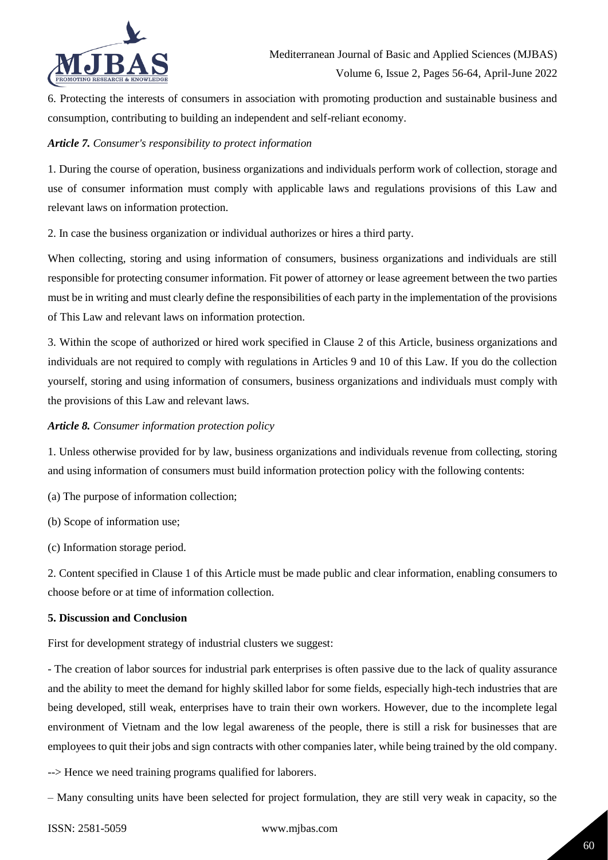

6. Protecting the interests of consumers in association with promoting production and sustainable business and consumption, contributing to building an independent and self-reliant economy.

## *Article 7. Consumer's responsibility to protect information*

1. During the course of operation, business organizations and individuals perform work of collection, storage and use of consumer information must comply with applicable laws and regulations provisions of this Law and relevant laws on information protection.

2. In case the business organization or individual authorizes or hires a third party.

When collecting, storing and using information of consumers, business organizations and individuals are still responsible for protecting consumer information. Fit power of attorney or lease agreement between the two parties must be in writing and must clearly define the responsibilities of each party in the implementation of the provisions of This Law and relevant laws on information protection.

3. Within the scope of authorized or hired work specified in Clause 2 of this Article, business organizations and individuals are not required to comply with regulations in Articles 9 and 10 of this Law. If you do the collection yourself, storing and using information of consumers, business organizations and individuals must comply with the provisions of this Law and relevant laws.

## *Article 8. Consumer information protection policy*

1. Unless otherwise provided for by law, business organizations and individuals revenue from collecting, storing and using information of consumers must build information protection policy with the following contents:

- (a) The purpose of information collection;
- (b) Scope of information use;

(c) Information storage period.

2. Content specified in Clause 1 of this Article must be made public and clear information, enabling consumers to choose before or at time of information collection.

### **5. Discussion and Conclusion**

First for development strategy of industrial clusters we suggest:

- The creation of labor sources for industrial park enterprises is often passive due to the lack of quality assurance and the ability to meet the demand for highly skilled labor for some fields, especially high-tech industries that are being developed, still weak, enterprises have to train their own workers. However, due to the incomplete legal environment of Vietnam and the low legal awareness of the people, there is still a risk for businesses that are employees to quit their jobs and sign contracts with other companies later, while being trained by the old company.

--> Hence we need training programs qualified for laborers.

– Many consulting units have been selected for project formulation, they are still very weak in capacity, so the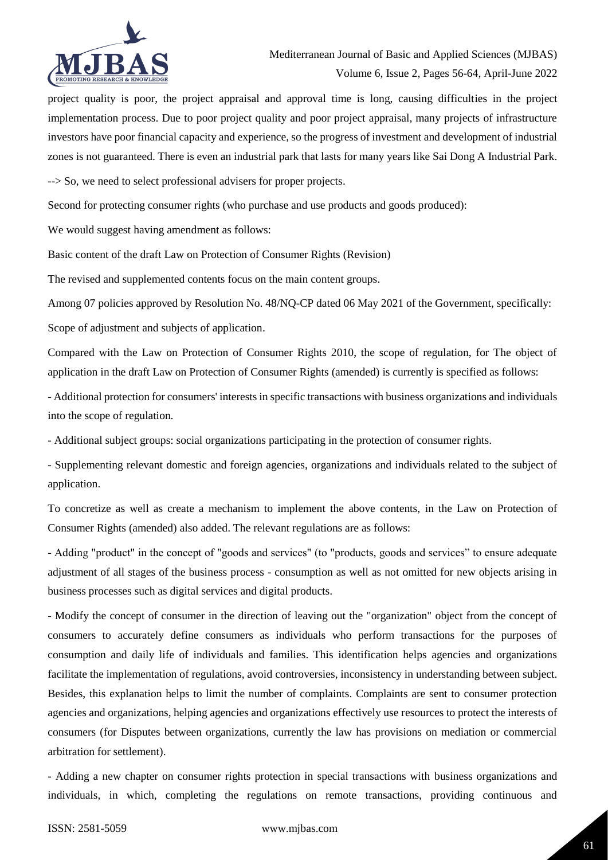

project quality is poor, the project appraisal and approval time is long, causing difficulties in the project implementation process. Due to poor project quality and poor project appraisal, many projects of infrastructure investors have poor financial capacity and experience, so the progress of investment and development of industrial zones is not guaranteed. There is even an industrial park that lasts for many years like Sai Dong A Industrial Park.

--> So, we need to select professional advisers for proper projects.

Second for protecting consumer rights (who purchase and use products and goods produced):

We would suggest having amendment as follows:

Basic content of the draft Law on Protection of Consumer Rights (Revision)

The revised and supplemented contents focus on the main content groups.

Among 07 policies approved by Resolution No. 48/NQ-CP dated 06 May 2021 of the Government, specifically:

Scope of adjustment and subjects of application.

Compared with the Law on Protection of Consumer Rights 2010, the scope of regulation, for The object of application in the draft Law on Protection of Consumer Rights (amended) is currently is specified as follows:

- Additional protection for consumers' interests in specific transactions with business organizations and individuals into the scope of regulation.

- Additional subject groups: social organizations participating in the protection of consumer rights.

- Supplementing relevant domestic and foreign agencies, organizations and individuals related to the subject of application.

To concretize as well as create a mechanism to implement the above contents, in the Law on Protection of Consumer Rights (amended) also added. The relevant regulations are as follows:

- Adding "product" in the concept of "goods and services" (to "products, goods and services" to ensure adequate adjustment of all stages of the business process - consumption as well as not omitted for new objects arising in business processes such as digital services and digital products.

- Modify the concept of consumer in the direction of leaving out the "organization" object from the concept of consumers to accurately define consumers as individuals who perform transactions for the purposes of consumption and daily life of individuals and families. This identification helps agencies and organizations facilitate the implementation of regulations, avoid controversies, inconsistency in understanding between subject. Besides, this explanation helps to limit the number of complaints. Complaints are sent to consumer protection agencies and organizations, helping agencies and organizations effectively use resources to protect the interests of consumers (for Disputes between organizations, currently the law has provisions on mediation or commercial arbitration for settlement).

- Adding a new chapter on consumer rights protection in special transactions with business organizations and individuals, in which, completing the regulations on remote transactions, providing continuous and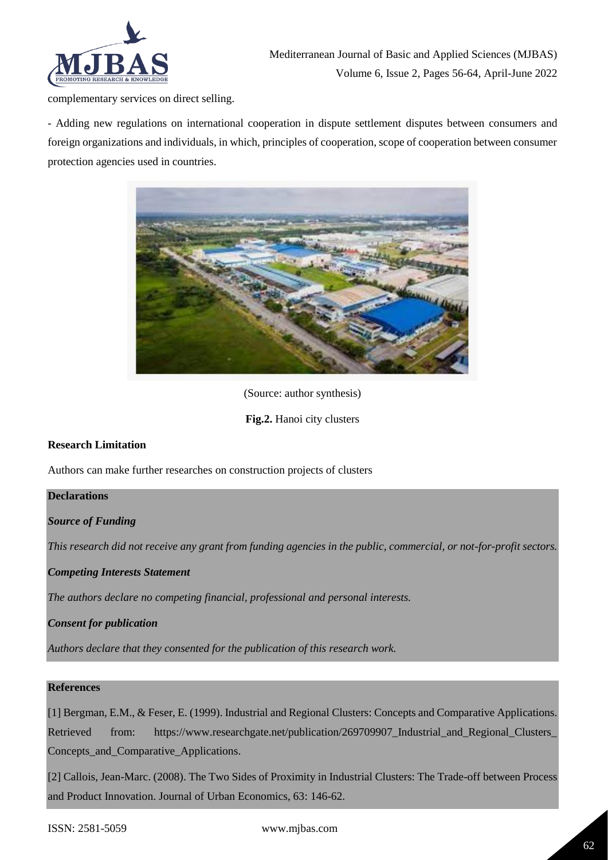

complementary services on direct selling.

- Adding new regulations on international cooperation in dispute settlement disputes between consumers and foreign organizations and individuals, in which, principles of cooperation, scope of cooperation between consumer protection agencies used in countries.



(Source: author synthesis)

**Fig.2.** Hanoi city clusters

# **Research Limitation**

Authors can make further researches on construction projects of clusters

### **Declarations**

*Source of Funding*

*This research did not receive any grant from funding agencies in the public, commercial, or not-for-profit sectors.*

### *Competing Interests Statement*

*The authors declare no competing financial, professional and personal interests.*

*Consent for publication*

*Authors declare that they consented for the publication of this research work.* 

# **References**

[1] Bergman, E.M., & Feser, E. (1999). Industrial and Regional Clusters: Concepts and Comparative Applications. Retrieved from: https://www.researchgate.net/publication/269709907\_Industrial\_and\_Regional\_Clusters\_ Concepts\_and\_Comparative\_Applications.

[2] Callois, Jean-Marc. (2008). The Two Sides of Proximity in Industrial Clusters: The Trade-off between Process and Product Innovation. Journal of Urban Economics, 63: 146-62.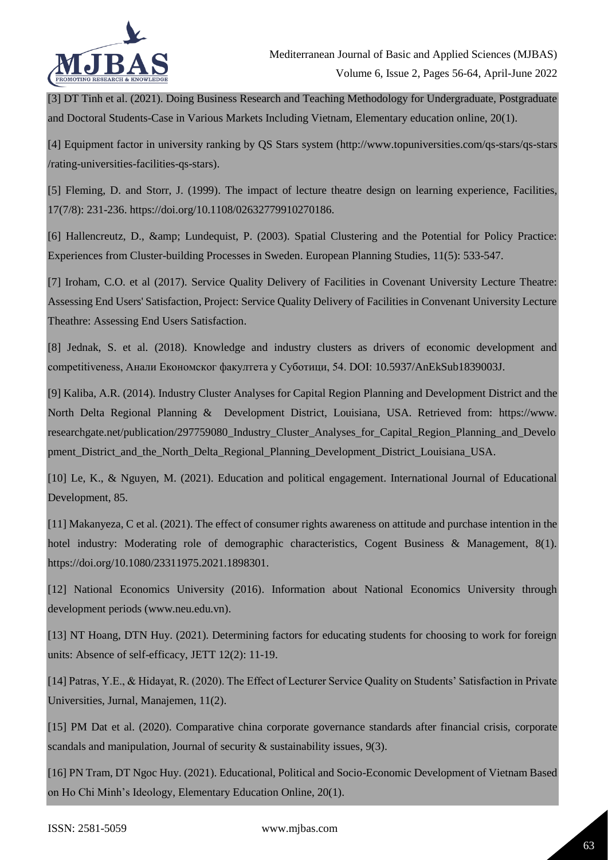

[3] DT Tinh et al. (2021). Doing Business Research and Teaching Methodology for Undergraduate, Postgraduate and Doctoral Students-Case in Various Markets Including Vietnam, Elementary education online, 20(1).

[4] Equipment factor in university ranking by QS Stars system (http://www.topuniversities.com/qs-stars/qs-stars /rating-universities-facilities-qs-stars).

[5] Fleming, D. and Storr, J. (1999). The impact of lecture theatre design on learning experience, Facilities, 17(7/8): 231-236. https://doi.org/10.1108/02632779910270186.

[6] Hallencreutz, D., & amp; Lundequist, P. (2003). Spatial Clustering and the Potential for Policy Practice: Experiences from Cluster-building Processes in Sweden. European Planning Studies, 11(5): 533-547.

[7] Iroham, C.O. et al (2017). Service Quality Delivery of Facilities in Covenant University Lecture Theatre: Assessing End Users' Satisfaction, Project: Service Quality Delivery of Facilities in Convenant University Lecture Theathre: Assessing End Users Satisfaction.

[8] Jednak, S. et al. (2018). Knowledge and industry clusters as drivers of economic development and competitiveness, Анали Економског факултета у Суботици, 54. DOI: 10.5937/AnEkSub1839003J.

[9] Kaliba, A.R. (2014). Industry Cluster Analyses for Capital Region Planning and Development District and the North Delta Regional Planning & Development District, Louisiana, USA. Retrieved from: https://www. researchgate.net/publication/297759080\_Industry\_Cluster\_Analyses\_for\_Capital\_Region\_Planning\_and\_Develo pment\_District\_and\_the\_North\_Delta\_Regional\_Planning\_Development\_District\_Louisiana\_USA.

[10] Le, K., & Nguyen, M. (2021). Education and political engagement. International Journal of Educational Development, 85.

[11] Makanyeza, C et al. (2021). The effect of consumer rights awareness on attitude and purchase intention in the hotel industry: Moderating role of demographic characteristics, Cogent Business & Management, 8(1). https://doi.org/10.1080/23311975.2021.1898301.

[12] National Economics University (2016). Information about National Economics University through development periods (www.neu.edu.vn).

[13] NT Hoang, DTN Huy. (2021). Determining factors for educating students for choosing to work for foreign units: Absence of self-efficacy, JETT 12(2): 11-19.

[14] Patras, Y.E., & Hidayat, R. (2020). The Effect of Lecturer Service Quality on Students' Satisfaction in Private Universities, Jurnal, Manajemen, 11(2).

[15] PM Dat et al. (2020). Comparative china corporate governance standards after financial crisis, corporate scandals and manipulation, Journal of security & sustainability issues, 9(3).

[16] PN Tram, DT Ngoc Huy. (2021). Educational, Political and Socio-Economic Development of Vietnam Based on Ho Chi Minh's Ideology, Elementary Education Online, 20(1).